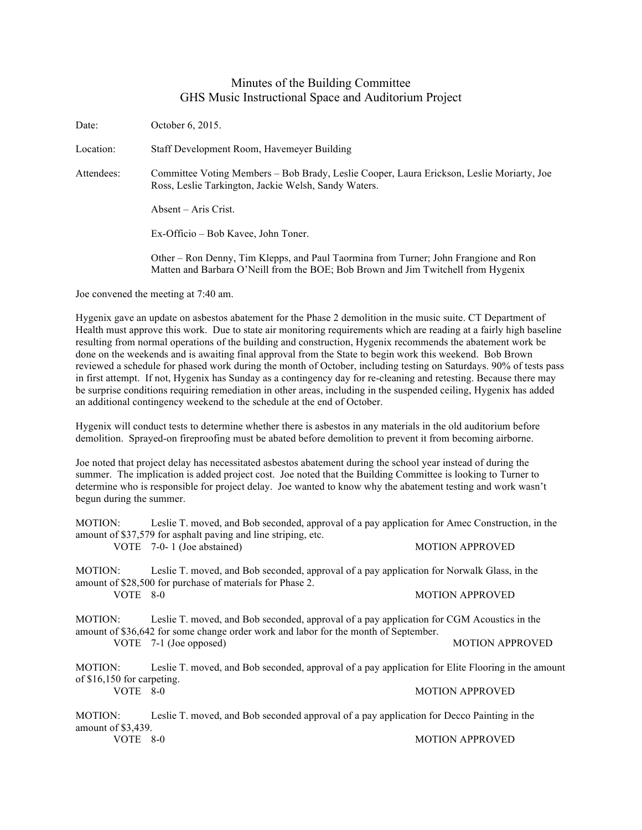## Minutes of the Building Committee GHS Music Instructional Space and Auditorium Project

Date: October 6, 2015. Location: Staff Development Room, Havemeyer Building Attendees: Committee Voting Members – Bob Brady, Leslie Cooper, Laura Erickson, Leslie Moriarty, Joe Ross, Leslie Tarkington, Jackie Welsh, Sandy Waters. Absent – Aris Crist. Ex-Officio – Bob Kavee, John Toner. Other – Ron Denny, Tim Klepps, and Paul Taormina from Turner; John Frangione and Ron Matten and Barbara O'Neill from the BOE; Bob Brown and Jim Twitchell from Hygenix

Joe convened the meeting at 7:40 am.

Hygenix gave an update on asbestos abatement for the Phase 2 demolition in the music suite. CT Department of Health must approve this work. Due to state air monitoring requirements which are reading at a fairly high baseline resulting from normal operations of the building and construction, Hygenix recommends the abatement work be done on the weekends and is awaiting final approval from the State to begin work this weekend. Bob Brown reviewed a schedule for phased work during the month of October, including testing on Saturdays. 90% of tests pass in first attempt. If not, Hygenix has Sunday as a contingency day for re-cleaning and retesting. Because there may be surprise conditions requiring remediation in other areas, including in the suspended ceiling, Hygenix has added an additional contingency weekend to the schedule at the end of October.

Hygenix will conduct tests to determine whether there is asbestos in any materials in the old auditorium before demolition. Sprayed-on fireproofing must be abated before demolition to prevent it from becoming airborne.

Joe noted that project delay has necessitated asbestos abatement during the school year instead of during the summer. The implication is added project cost. Joe noted that the Building Committee is looking to Turner to determine who is responsible for project delay. Joe wanted to know why the abatement testing and work wasn't begun during the summer.

| MOTION:<br>Leslie T. moved, and Bob seconded, approval of a pay application for Amec Construction, in the<br>amount of \$37,579 for asphalt paving and line striping, etc.                  |                                                                                                                                                         |                        |
|---------------------------------------------------------------------------------------------------------------------------------------------------------------------------------------------|---------------------------------------------------------------------------------------------------------------------------------------------------------|------------------------|
|                                                                                                                                                                                             | VOTE 7-0-1 (Joe abstained)                                                                                                                              | <b>MOTION APPROVED</b> |
| MOTION:                                                                                                                                                                                     | Leslie T. moved, and Bob seconded, approval of a pay application for Norwalk Glass, in the<br>amount of \$28,500 for purchase of materials for Phase 2. |                        |
| $VOTE$ 8-0                                                                                                                                                                                  |                                                                                                                                                         | <b>MOTION APPROVED</b> |
| MOTION:<br>Leslie T. moved, and Bob seconded, approval of a pay application for CGM Acoustics in the<br>amount of \$36,642 for some change order work and labor for the month of September. |                                                                                                                                                         |                        |
|                                                                                                                                                                                             | VOTE $7-1$ (Joe opposed)                                                                                                                                | <b>MOTION APPROVED</b> |
| MOTION:<br>of \$16,150 for carpeting.                                                                                                                                                       | Leslie T. moved, and Bob seconded, approval of a pay application for Elite Flooring in the amount                                                       |                        |
| $VOTE$ 8-0                                                                                                                                                                                  |                                                                                                                                                         | <b>MOTION APPROVED</b> |
| MOTION:<br>amount of \$3,439.                                                                                                                                                               | Leslie T. moved, and Bob seconded approval of a pay application for Decco Painting in the                                                               |                        |

VOTE 8-0 MOTION APPROVED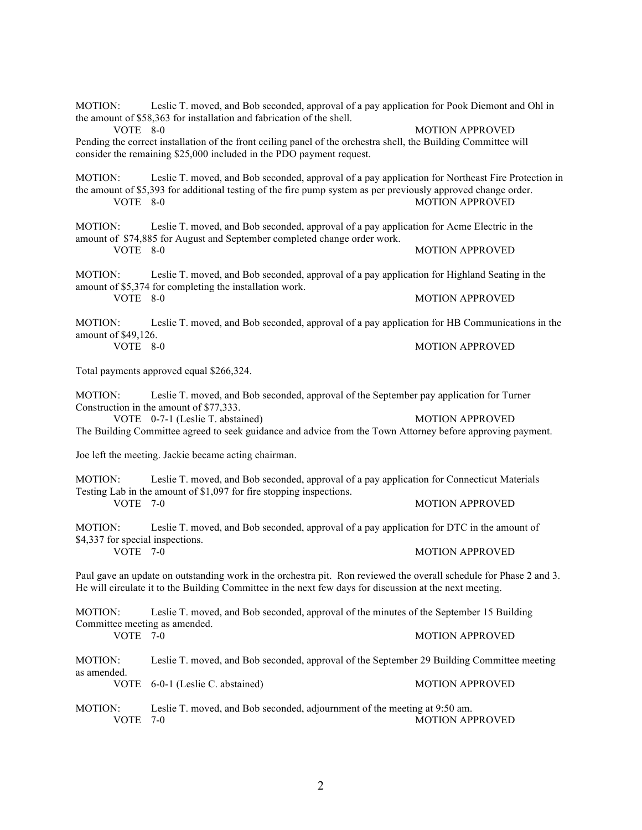MOTION: Leslie T. moved, and Bob seconded, approval of a pay application for Pook Diemont and Ohl in the amount of \$58,363 for installation and fabrication of the shell. VOTE 8-0 MOTION APPROVED Pending the correct installation of the front ceiling panel of the orchestra shell, the Building Committee will consider the remaining \$25,000 included in the PDO payment request. MOTION: Leslie T. moved, and Bob seconded, approval of a pay application for Northeast Fire Protection in the amount of \$5,393 for additional testing of the fire pump system as per previously approved change order. VOTE 8-0 MOTION APPROVED MOTION: Leslie T. moved, and Bob seconded, approval of a pay application for Acme Electric in the amount of \$74,885 for August and September completed change order work. VOTE 8-0 MOTION APPROVED MOTION: Leslie T. moved, and Bob seconded, approval of a pay application for Highland Seating in the amount of \$5,374 for completing the installation work. VOTE 8-0 MOTION APPROVED MOTION: Leslie T. moved, and Bob seconded, approval of a pay application for HB Communications in the amount of \$49,126. VOTE 8-0 MOTION APPROVED Total payments approved equal \$266,324. MOTION: Leslie T. moved, and Bob seconded, approval of the September pay application for Turner Construction in the amount of \$77,333. VOTE 0-7-1 (Leslie T. abstained) MOTION APPROVED The Building Committee agreed to seek guidance and advice from the Town Attorney before approving payment. Joe left the meeting. Jackie became acting chairman. MOTION: Leslie T. moved, and Bob seconded, approval of a pay application for Connecticut Materials Testing Lab in the amount of \$1,097 for fire stopping inspections. VOTE 7-0 MOTION APPROVED MOTION: Leslie T. moved, and Bob seconded, approval of a pay application for DTC in the amount of \$4,337 for special inspections. VOTE 7-0 MOTION APPROVED Paul gave an update on outstanding work in the orchestra pit. Ron reviewed the overall schedule for Phase 2 and 3. He will circulate it to the Building Committee in the next few days for discussion at the next meeting. MOTION: Leslie T. moved, and Bob seconded, approval of the minutes of the September 15 Building Committee meeting as amended. VOTE 7-0 MOTION APPROVED MOTION: Leslie T. moved, and Bob seconded, approval of the September 29 Building Committee meeting as amended. VOTE 6-0-1 (Leslie C. abstained) MOTION APPROVED MOTION: Leslie T. moved, and Bob seconded, adjournment of the meeting at 9:50 am. VOTE 7-0 MOTION APPROVED